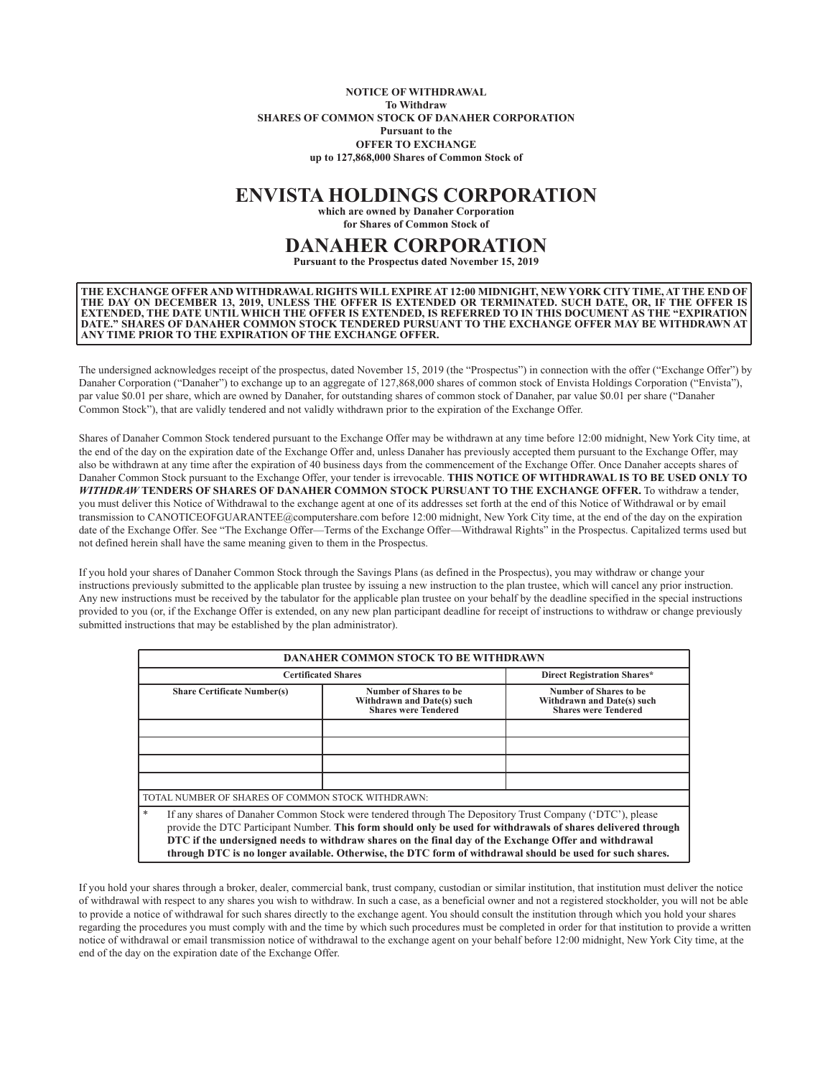## **NOTICE OF WITHDRAWAL To Withdraw SHARES OF COMMON STOCK OF DANAHER CORPORATION Pursuant to the OFFER TO EXCHANGE up to 127,868,000 Shares of Common Stock of**

## **ENVISTA HOLDINGS CORPORATION**

**which are owned by Danaher Corporation for Shares of Common Stock of**

## **DANAHER CORPORATION**

**Pursuant to the Prospectus dated November 15, 2019**

**THE EXCHANGE OFFER AND WITHDRAWAL RIGHTS WILL EXPIRE AT 12:00 MIDNIGHT, NEW YORK CITY TIME, AT THE END OF THE DAY ON DECEMBER 13, 2019, UNLESS THE OFFER IS EXTENDED OR TERMINATED. SUCH DATE, OR, IF THE OFFER IS EXTENDED, THE DATE UNTIL WHICH THE OFFER IS EXTENDED, IS REFERRED TO IN THIS DOCUMENT AS THE "EXPIRATION DATE." SHARES OF DANAHER COMMON STOCK TENDERED PURSUANT TO THE EXCHANGE OFFER MAY BE WITHDRAWN AT ANY TIME PRIOR TO THE EXPIRATION OF THE EXCHANGE OFFER.**

The undersigned acknowledges receipt of the prospectus, dated November 15, 2019 (the "Prospectus") in connection with the offer ("Exchange Offer") by Danaher Corporation ("Danaher") to exchange up to an aggregate of 127,868,000 shares of common stock of Envista Holdings Corporation ("Envista"), par value \$0.01 per share, which are owned by Danaher, for outstanding shares of common stock of Danaher, par value \$0.01 per share ("Danaher Common Stock"), that are validly tendered and not validly withdrawn prior to the expiration of the Exchange Offer.

Shares of Danaher Common Stock tendered pursuant to the Exchange Offer may be withdrawn at any time before 12:00 midnight, New York City time, at the end of the day on the expiration date of the Exchange Offer and, unless Danaher has previously accepted them pursuant to the Exchange Offer, may also be withdrawn at any time after the expiration of 40 business days from the commencement of the Exchange Offer. Once Danaher accepts shares of Danaher Common Stock pursuant to the Exchange Offer, your tender is irrevocable. **THIS NOTICE OF WITHDRAWAL IS TO BE USED ONLY TO** *WITHDRAW* **TENDERS OF SHARES OF DANAHER COMMON STOCK PURSUANT TO THE EXCHANGE OFFER.** To withdraw a tender, you must deliver this Notice of Withdrawal to the exchange agent at one of its addresses set forth at the end of this Notice of Withdrawal or by email transmission to CANOTICEOFGUARANTEE@computershare.com before 12:00 midnight, New York City time, at the end of the day on the expiration date of the Exchange Offer. See "The Exchange Offer—Terms of the Exchange Offer—Withdrawal Rights" in the Prospectus. Capitalized terms used but not defined herein shall have the same meaning given to them in the Prospectus.

If you hold your shares of Danaher Common Stock through the Savings Plans (as defined in the Prospectus), you may withdraw or change your instructions previously submitted to the applicable plan trustee by issuing a new instruction to the plan trustee, which will cancel any prior instruction. Any new instructions must be received by the tabulator for the applicable plan trustee on your behalf by the deadline specified in the special instructions provided to you (or, if the Exchange Offer is extended, on any new plan participant deadline for receipt of instructions to withdraw or change previously submitted instructions that may be established by the plan administrator).

| <b>DANAHER COMMON STOCK TO BE WITHDRAWN</b>       |                                                                                                                                                                                                                                                                                                                                |                                                                                                               |
|---------------------------------------------------|--------------------------------------------------------------------------------------------------------------------------------------------------------------------------------------------------------------------------------------------------------------------------------------------------------------------------------|---------------------------------------------------------------------------------------------------------------|
| <b>Certificated Shares</b>                        |                                                                                                                                                                                                                                                                                                                                | <b>Direct Registration Shares*</b>                                                                            |
| <b>Share Certificate Number(s)</b>                | Number of Shares to be<br>Withdrawn and Date(s) such<br><b>Shares were Tendered</b>                                                                                                                                                                                                                                            | Number of Shares to be<br>Withdrawn and Date(s) such<br><b>Shares were Tendered</b>                           |
|                                                   |                                                                                                                                                                                                                                                                                                                                |                                                                                                               |
|                                                   |                                                                                                                                                                                                                                                                                                                                |                                                                                                               |
|                                                   |                                                                                                                                                                                                                                                                                                                                |                                                                                                               |
|                                                   |                                                                                                                                                                                                                                                                                                                                |                                                                                                               |
| TOTAL NUMBER OF SHARES OF COMMON STOCK WITHDRAWN: |                                                                                                                                                                                                                                                                                                                                |                                                                                                               |
| $\ast$                                            | If any shares of Danaher Common Stock were tendered through The Depository Trust Company ('DTC'), please<br>DTC if the undersigned needs to withdraw shares on the final day of the Exchange Offer and withdrawal<br>through DTC is no longer available. Otherwise, the DTC form of withdrawal should be used for such shares. | provide the DTC Participant Number. This form should only be used for withdrawals of shares delivered through |

If you hold your shares through a broker, dealer, commercial bank, trust company, custodian or similar institution, that institution must deliver the notice of withdrawal with respect to any shares you wish to withdraw. In such a case, as a beneficial owner and not a registered stockholder, you will not be able to provide a notice of withdrawal for such shares directly to the exchange agent. You should consult the institution through which you hold your shares regarding the procedures you must comply with and the time by which such procedures must be completed in order for that institution to provide a written notice of withdrawal or email transmission notice of withdrawal to the exchange agent on your behalf before 12:00 midnight, New York City time, at the end of the day on the expiration date of the Exchange Offer.